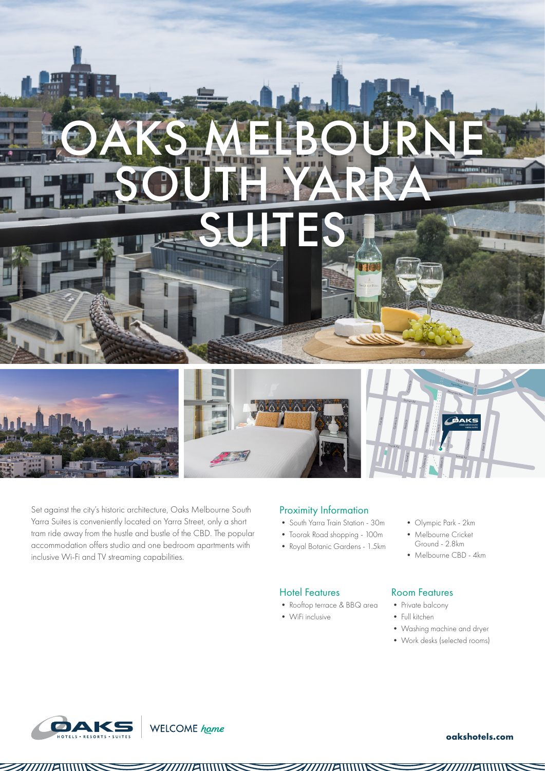

Set against the city's historic architecture, Oaks Melbourne South Yarra Suites is conveniently located on Yarra Street, only a short tram ride away from the hustle and bustle of the CBD. The popular accommodation offers studio and one bedroom apartments with inclusive Wi-Fi and TV streaming capabilities.

WELCOME home

#### Proximity Information

- South Yarra Train Station 30m
- Toorak Road shopping 100m
- Royal Botanic Gardens 1.5km

## Hotel Features

- Rooftop terrace & BBQ area
- WiFi inclusive
- Olympic Park 2km
- Melbourne Cricket Ground - 2.8km
- Melbourne CBD 4km

## Room Features

- Private balcony
- Full kitchen
- Washing machine and dryer
- Work desks (selected rooms)



#### **oakshotels.com**